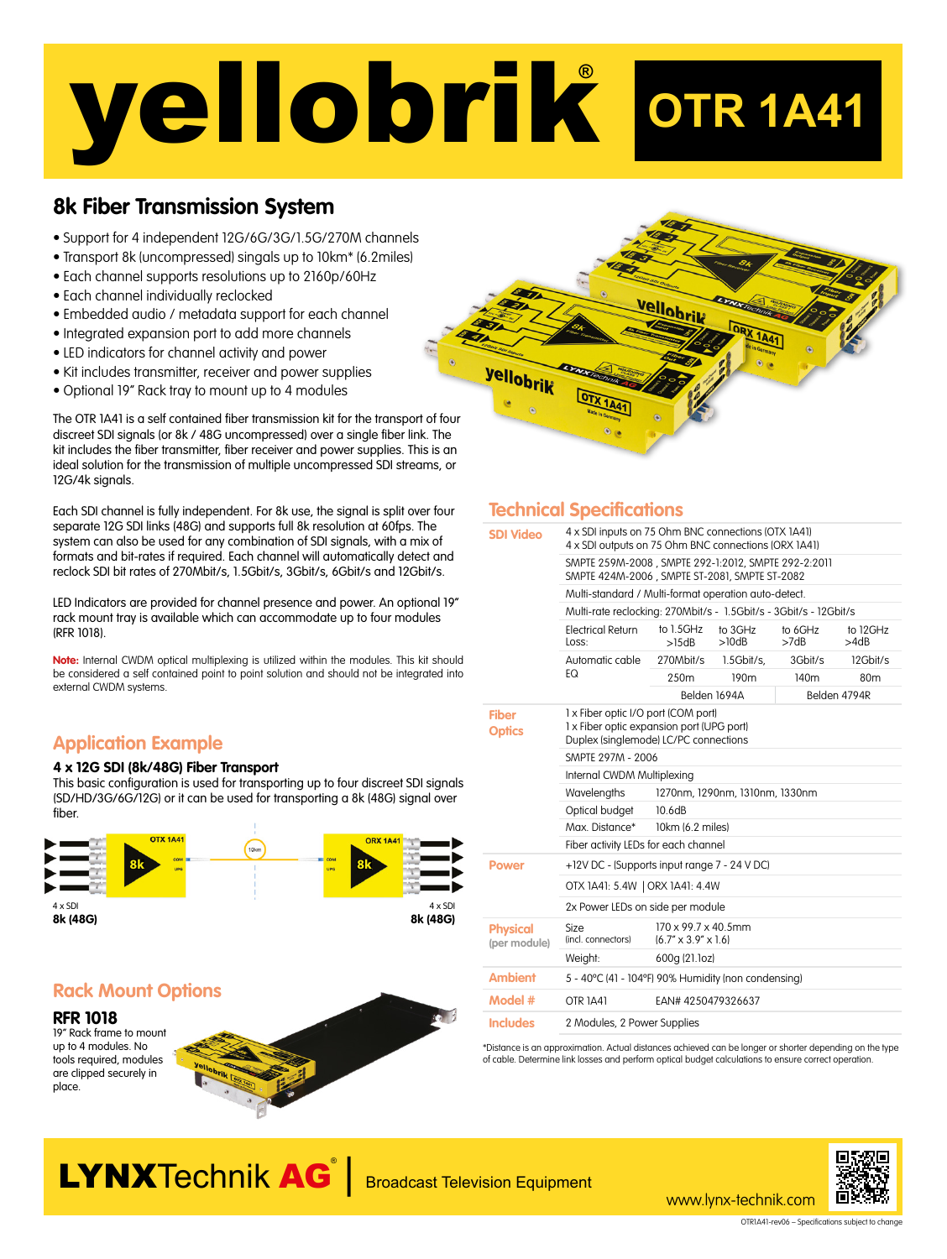# yellobrik**® OTR 1A41**

## **8k Fiber Transmission System**

- Support for 4 independent 12G/6G/3G/1.5G/270M channels
- Transport 8k (uncompressed) singals up to 10km\* (6.2miles)
- Each channel supports resolutions up to 2160p/60Hz
- Each channel individually reclocked
- Embedded audio / metadata support for each channel
- Integrated expansion port to add more channels
- LED indicators for channel activity and power
- Kit includes transmitter, receiver and power supplies
- Optional 19" Rack tray to mount up to 4 modules

The OTR 1A41 is a self contained fiber transmission kit for the transport of four discreet SDI signals (or 8k / 48G uncompressed) over a single fiber link. The kit includes the fiber transmitter, fiber receiver and power supplies. This is an ideal solution for the transmission of multiple uncompressed SDI streams, or 12G/4k signals.

Each SDI channel is fully independent. For 8k use, the signal is split over four separate 12G SDI links (48G) and supports full 8k resolution at 60fps. The system can also be used for any combination of SDI signals, with a mix of formats and bit-rates if required. Each channel will automatically detect and reclock SDI bit rates of 270Mbit/s, 1.5Gbit/s, 3Gbit/s, 6Gbit/s and 12Gbit/s.

LED Indicators are provided for channel presence and power. An optional 19" rack mount tray is available which can accommodate up to four modules (RFR 1018).

**Note:** Internal CWDM optical multiplexing is utilized within the modules. This kit should be considered a self contained point to point solution and should not be integrated into external CWDM systems.

## **Application Example**

#### **4 x 12G SDI (8k/48G) Fiber Transport**

This basic configuration is used for transporting up to four discreet SDI signals (SD/HD/3G/6G/12G) or it can be used for transporting a 8k (48G) signal over fiber.



## **Rack Mount Options**

up to 4 modules. No tools required, modules are clipped securely in place.





### **Technical Specifications**

| <b>SDI Video</b>                | 4 x SDI inputs on 75 Ohm BNC connections (OTX 1A41)<br>4 x SDI outputs on 75 Ohm BNC connections (ORX 1A41)               |                                                          |                  |                  |                  |
|---------------------------------|---------------------------------------------------------------------------------------------------------------------------|----------------------------------------------------------|------------------|------------------|------------------|
|                                 | SMPTE 259M-2008, SMPTE 292-1:2012, SMPTE 292-2:2011<br>SMPTE 424M-2006, SMPTE ST-2081, SMPTE ST-2082                      |                                                          |                  |                  |                  |
|                                 | Multi-standard / Multi-format operation auto-detect.                                                                      |                                                          |                  |                  |                  |
|                                 | Multi-rate reclocking: 270Mbit/s - 1.5Gbit/s - 3Gbit/s - 12Gbit/s                                                         |                                                          |                  |                  |                  |
|                                 | <b>Electrical Return</b><br>Loss:                                                                                         | to 1.5GHz<br>>15dB                                       | to 3GHz<br>>10dB | to 6GHz<br>>7dB  | to 12GHz<br>>4dB |
|                                 | Automatic cable<br>EQ                                                                                                     | 270Mbit/s                                                | 1.5Gbit/s,       | 3Gbit/s          | 12Gbit/s         |
|                                 |                                                                                                                           | 250m                                                     | 190 <sub>m</sub> | 140 <sub>m</sub> | 80m              |
|                                 |                                                                                                                           |                                                          | Belden 1694A     |                  | Belden 4794R     |
| <b>Fiber</b><br><b>Optics</b>   | 1 x Fiber optic I/O port (COM port)<br>1 x Fiber optic expansion port (UPG port)<br>Duplex (singlemode) LC/PC connections |                                                          |                  |                  |                  |
|                                 | SMPTE 297M - 2006                                                                                                         |                                                          |                  |                  |                  |
|                                 | Internal CWDM Multiplexing                                                                                                |                                                          |                  |                  |                  |
|                                 | Wavelengths                                                                                                               | 1270nm, 1290nm, 1310nm, 1330nm                           |                  |                  |                  |
|                                 | Optical budget                                                                                                            | 10.6dB                                                   |                  |                  |                  |
|                                 | Max. Distance*                                                                                                            | 10km (6.2 miles)                                         |                  |                  |                  |
|                                 | Fiber activity LEDs for each channel                                                                                      |                                                          |                  |                  |                  |
| <b>Power</b>                    | +12V DC - (Supports input range 7 - 24 V DC)                                                                              |                                                          |                  |                  |                  |
|                                 | OTX 1A41: 5.4W   ORX 1A41: 4.4W                                                                                           |                                                          |                  |                  |                  |
|                                 | 2x Power LEDs on side per module                                                                                          |                                                          |                  |                  |                  |
| <b>Physical</b><br>(per module) | Size<br>(incl. connectors)                                                                                                | 170 x 99.7 x 40.5mm<br>$(6.7'' \times 3.9'' \times 1.6)$ |                  |                  |                  |
|                                 | Weight:                                                                                                                   | 600g (21.1oz)                                            |                  |                  |                  |
| <b>Ambient</b>                  | 5 - 40°C (41 - 104°F) 90% Humidity (non condensing)                                                                       |                                                          |                  |                  |                  |
| Model #                         | OTR <sub>1</sub> A41                                                                                                      | EAN# 4250479326637                                       |                  |                  |                  |
| <b>Includes</b>                 | 2 Modules, 2 Power Supplies                                                                                               |                                                          |                  |                  |                  |
|                                 |                                                                                                                           |                                                          |                  |                  |                  |

\*Distance is an approximation. Actual distances achieved can be longer or shorter depending on the type of cable. Determine link losses and perform optical budget calculations to ensure correct operation.

www.lynx-technik.com



LYNXTechnik AG<sup>®</sup> Broadcast Television Equipment